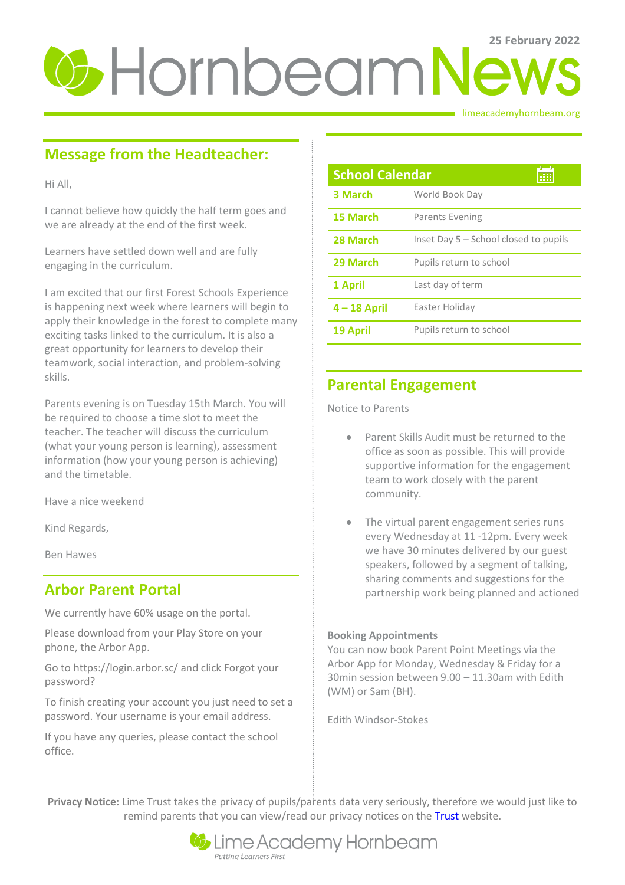# **25 February 2022**

limeacademyhornbeam.org

# **Message from the Headteacher:**

Hi All,

I cannot believe how quickly the half term goes and we are already at the end of the first week.

Learners have settled down well and are fully engaging in the curriculum.

I am excited that our first Forest Schools Experience is happening next week where learners will begin to apply their knowledge in the forest to complete many exciting tasks linked to the curriculum. It is also a great opportunity for learners to develop their teamwork, social interaction, and problem-solving skills.

Parents evening is on Tuesday 15th March. You will be required to choose a time slot to meet the teacher. The teacher will discuss the curriculum (what your young person is learning), assessment information (how your young person is achieving) and the timetable.

Have a nice weekend

Kind Regards,

Ben Hawes

## **Arbor Parent Portal**

We currently have 60% usage on the portal.

Please download from your Play Store on your phone, the Arbor App.

Go to https://login.arbor.sc/ and click Forgot your password?

To finish creating your account you just need to set a password. Your username is your email address.

If you have any queries, please contact the school office.

| <b>School Calendar</b> |                                       |
|------------------------|---------------------------------------|
| <b>3 March</b>         | World Book Day                        |
| 15 March               | Parents Evening                       |
| 28 March               | Inset Day 5 – School closed to pupils |
| 29 March               | Pupils return to school               |
| 1 April                | Last day of term                      |
| $4 - 18$ April         | Easter Holiday                        |
| 19 April               | Pupils return to school               |

## **Parental Engagement**

Notice to Parents

- Parent Skills Audit must be returned to the office as soon as possible. This will provide supportive information for the engagement team to work closely with the parent community.
- The virtual parent engagement series runs every Wednesday at 11 -12pm. Every week we have 30 minutes delivered by our guest speakers, followed by a segment of talking, sharing comments and suggestions for the partnership work being planned and actioned

### **Booking Appointments**

You can now book Parent Point Meetings via the Arbor App for Monday, Wednesday & Friday for a 30min session between 9.00 – 11.30am with Edith (WM) or Sam (BH).

Edith Windsor-Stokes

**Privacy Notice:** Lime Trust takes the privacy of pupils/parents data very seriously, therefore we would just like to remind parents that you can view/read our privacy notices on the [Trust](http://limetrust.org/lime-trust-information/policies/) website.